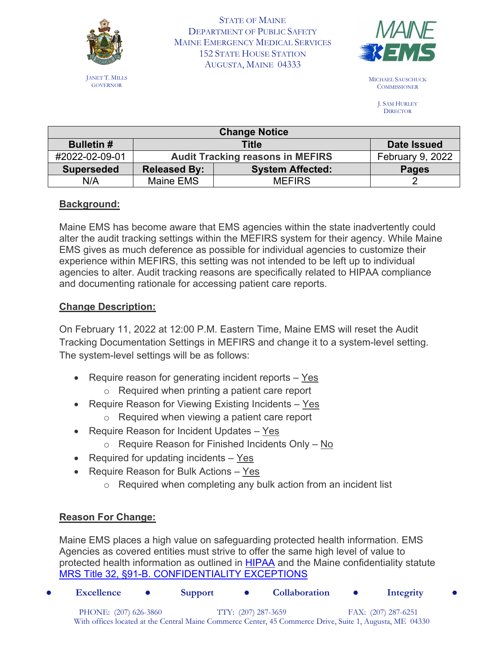

JANET T. MILLS GOVERNOR

STATE OF MAINE DEPARTMENT OF PUBLIC SAFETY MAINE EMERGENCY MEDICAL SERVICES 152 STATE HOUSE STATION AUGUSTA, MAINE 04333



MICHAEL SAUSCHUCK **COMMISSIONER** 

> J. SAM HURLEY **DIRECTOR**

| <b>Change Notice</b> |                                         |                         |                  |  |
|----------------------|-----------------------------------------|-------------------------|------------------|--|
| <b>Bulletin#</b>     | Title                                   |                         | Date Issued      |  |
| #2022-02-09-01       | <b>Audit Tracking reasons in MEFIRS</b> |                         | February 9, 2022 |  |
| <b>Superseded</b>    | <b>Released By:</b>                     | <b>System Affected:</b> | <b>Pages</b>     |  |
| N/A                  | Maine EMS                               | <b>MEFIRS</b>           |                  |  |

# **Background:**

Maine EMS has become aware that EMS agencies within the state inadvertently could alter the audit tracking settings within the MEFIRS system for their agency. While Maine EMS gives as much deference as possible for individual agencies to customize their experience within MEFIRS, this setting was not intended to be left up to individual agencies to alter. Audit tracking reasons are specifically related to HIPAA compliance and documenting rationale for accessing patient care reports.

# **Change Description:**

On February 11, 2022 at 12:00 P.M. Eastern Time, Maine EMS will reset the Audit Tracking Documentation Settings in MEFIRS and change it to a system-level setting. The system-level settings will be as follows:

- Require reason for generating incident reports Yes
	- o Required when printing a patient care report
- Require Reason for Viewing Existing Incidents Yes
	- o Required when viewing a patient care report
- Require Reason for Incident Updates Yes
	- o Require Reason for Finished Incidents Only No
- Required for updating incidents Yes
- Require Reason for Bulk Actions Yes
	- o Required when completing any bulk action from an incident list

# **Reason For Change:**

Maine EMS places a high value on safeguarding protected health information. EMS Agencies as covered entities must strive to offer the same high level of value to protected health information as outlined in [HIPAA](https://www.hhs.gov/hipaa/for-professionals/index.html) and the Maine confidentiality statute [MRS Title 32, §91-B. CONFIDENTIALITY EXCEPTIONS](https://legislature.maine.gov/statutes/32/title32sec91-B.html)

● **Excellence** ● **Support** ● **Collaboration** ● **Integrity** ● PHONE: (207) 626-3860 TTY: (207) 287-3659 FAX: (207) 287-6251 With offices located at the Central Maine Commerce Center, 45 Commerce Drive, Suite 1, Augusta, ME 04330